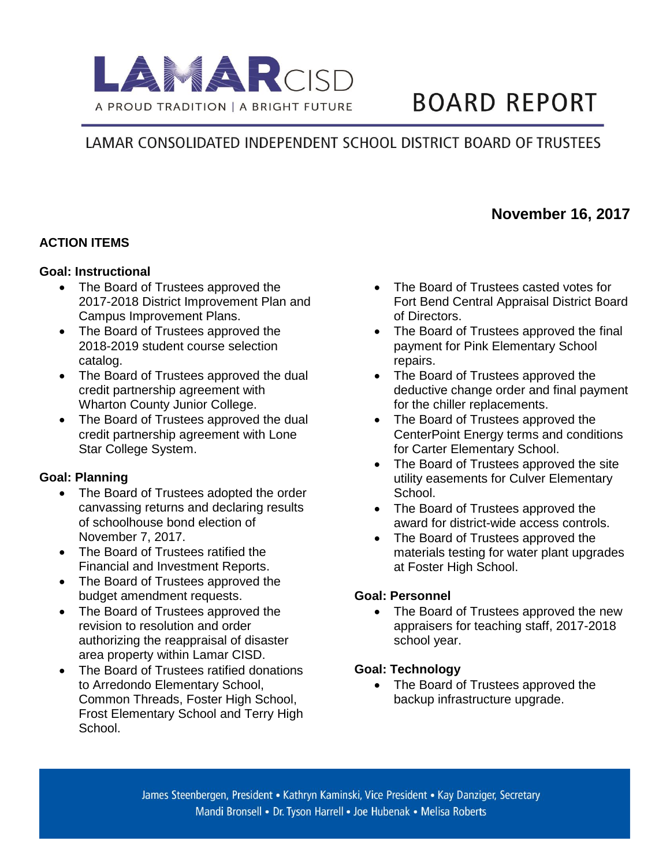

# **BOARD REPORT**

## LAMAR CONSOLIDATED INDEPENDENT SCHOOL DISTRICT BOARD OF TRUSTEES

### **November 16, 2017**

#### **ACTION ITEMS**

#### **Goal: Instructional**

- The Board of Trustees approved the 2017-2018 District Improvement Plan and Campus Improvement Plans.
- The Board of Trustees approved the 2018-2019 student course selection catalog.
- The Board of Trustees approved the dual credit partnership agreement with Wharton County Junior College.
- The Board of Trustees approved the dual credit partnership agreement with Lone Star College System.

#### **Goal: Planning**

- The Board of Trustees adopted the order canvassing returns and declaring results of schoolhouse bond election of November 7, 2017.
- The Board of Trustees ratified the Financial and Investment Reports.
- The Board of Trustees approved the budget amendment requests.
- The Board of Trustees approved the revision to resolution and order authorizing the reappraisal of disaster area property within Lamar CISD.
- The Board of Trustees ratified donations to Arredondo Elementary School, Common Threads, Foster High School, Frost Elementary School and Terry High School.
- The Board of Trustees casted votes for Fort Bend Central Appraisal District Board of Directors.
- The Board of Trustees approved the final payment for Pink Elementary School repairs.
- The Board of Trustees approved the deductive change order and final payment for the chiller replacements.
- The Board of Trustees approved the CenterPoint Energy terms and conditions for Carter Elementary School.
- The Board of Trustees approved the site utility easements for Culver Elementary School.
- The Board of Trustees approved the award for district-wide access controls.
- The Board of Trustees approved the materials testing for water plant upgrades at Foster High School.

#### **Goal: Personnel**

• The Board of Trustees approved the new appraisers for teaching staff, 2017-2018 school year.

#### **Goal: Technology**

• The Board of Trustees approved the backup infrastructure upgrade.